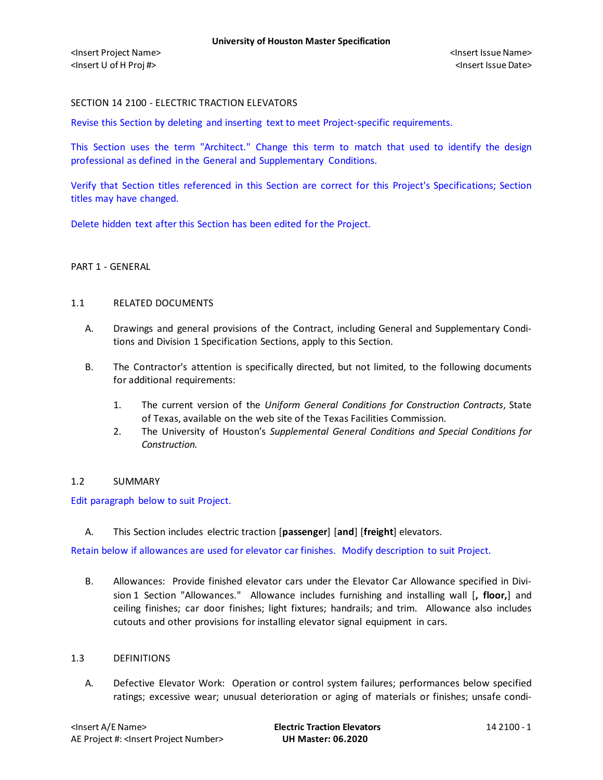## SECTION 14 2100 - ELECTRIC TRACTION ELEVATORS

Revise this Section by deleting and inserting text to meet Project-specific requirements.

This Section uses the term "Architect." Change this term to match that used to identify the design professional as defined in the General and Supplementary Conditions.

Verify that Section titles referenced in this Section are correct for this Project's Specifications; Section titles may have changed.

Delete hidden text after this Section has been edited for the Project.

# PART 1 - GENERAL

#### 1.1 RELATED DOCUMENTS

- A. Drawings and general provisions of the Contract, including General and Supplementary Conditions and Division 1 Specification Sections, apply to this Section.
- B. The Contractor's attention is specifically directed, but not limited, to the following documents for additional requirements:
	- 1. The current version of the *Uniform General Conditions for Construction Contracts*, State of Texas, available on the web site of the Texas Facilities Commission.
	- 2. The University of Houston's *Supplemental General Conditions and Special Conditions for Construction.*

### 1.2 SUMMARY

Edit paragraph below to suit Project.

A. This Section includes electric traction [**passenger**] [**and**] [**freight**] elevators.

Retain below if allowances are used for elevator car finishes. Modify description to suit Project.

B. Allowances: Provide finished elevator cars under the Elevator Car Allowance specified in Division 1 Section "Allowances." Allowance includes furnishing and installing wall [**, floor,**] and ceiling finishes; car door finishes; light fixtures; handrails; and trim. Allowance also includes cutouts and other provisions for installing elevator signal equipment in cars.

#### 1.3 DEFINITIONS

A. Defective Elevator Work: Operation or control system failures; performances below specified ratings; excessive wear; unusual deterioration or aging of materials or finishes; unsafe condi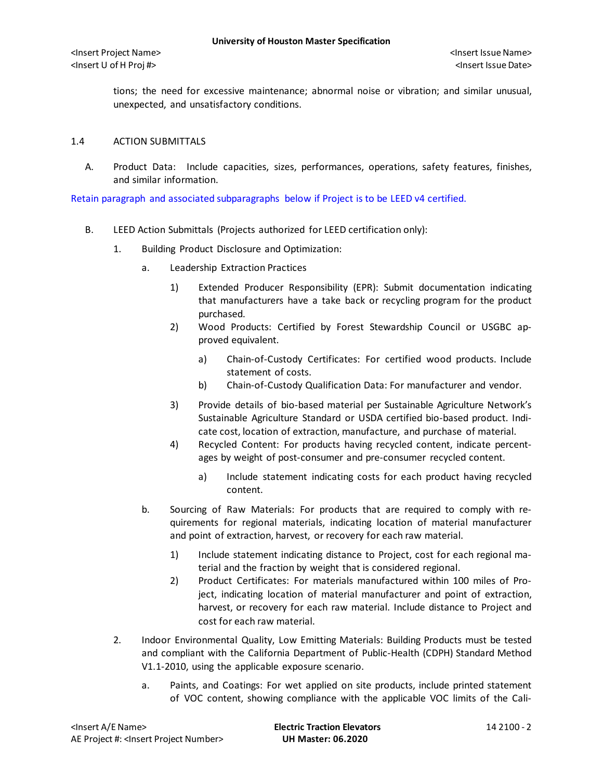tions; the need for excessive maintenance; abnormal noise or vibration; and similar unusual, unexpected, and unsatisfactory conditions.

### 1.4 ACTION SUBMITTALS

A. Product Data: Include capacities, sizes, performances, operations, safety features, finishes, and similar information.

Retain paragraph and associated subparagraphs below if Project is to be LEED v4 certified.

- B. LEED Action Submittals (Projects authorized for LEED certification only):
	- 1. Building Product Disclosure and Optimization:
		- a. Leadership Extraction Practices
			- 1) Extended Producer Responsibility (EPR): Submit documentation indicating that manufacturers have a take back or recycling program for the product purchased.
			- 2) Wood Products: Certified by Forest Stewardship Council or USGBC approved equivalent.
				- a) [Chain-of-Custody Certificates:](http://www.arcomnet.com/sustainable_design.aspx?topic=146) For certified wood products. Include statement of costs.
				- b) [Chain-of-Custody Qualification Data:](http://www.arcomnet.com/sustainable_design.aspx?topic=148) For manufacturer and vendor.
			- 3) Provide details of bio-based material per Sustainable Agriculture Network's Sustainable Agriculture Standard or USDA certified bio-based product. Indicate cost, location of extraction, manufacture, and purchase of material.
			- 4) Recycled Content: For products having recycled content, indicate percentages by weight of post-consumer and pre-consumer recycled content.
				- a) Include statement indicating costs for each product having recycled content.
		- b. Sourcing of Raw Materials: For products that are required to comply with requirements for regional materials, indicating location of material manufacturer and point of extraction, harvest, or recovery for each raw material.
			- 1) Include statement indicating distance to Project, cost for each regional material and the fraction by weight that is considered regional.
			- 2) Product Certificates: For materials manufactured within 100 miles of Project, indicating location of material manufacturer and point of extraction, harvest, or recovery for each raw material. Include distance to Project and cost for each raw material.
	- 2. Indoor Environmental Quality, Low Emitting Materials: Building Products must be tested and compliant with the California Department of Public-Health (CDPH) Standard Method V1.1-2010, using the applicable exposure scenario.
		- a. Paints, and Coatings: For wet applied on site products, include printed statement of VOC content, showing compliance with the applicable VOC limits of the Cali-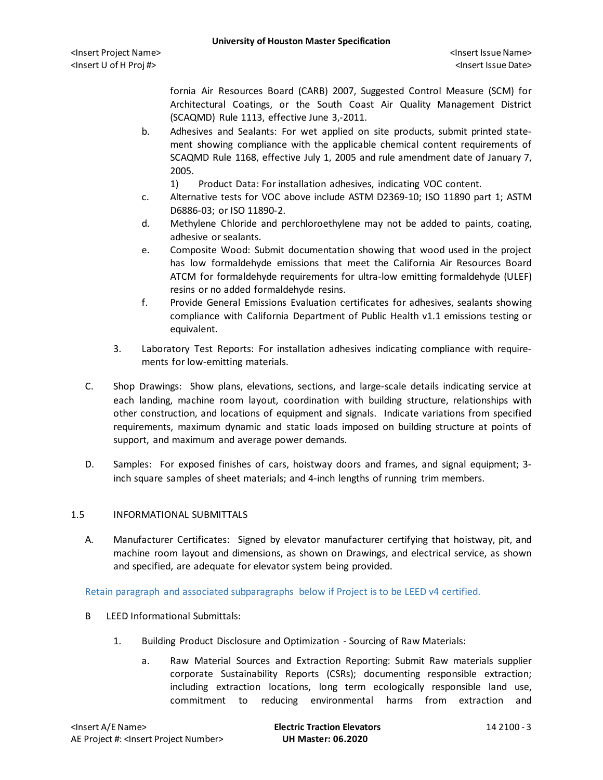fornia Air Resources Board (CARB) 2007, Suggested Control Measure (SCM) for Architectural Coatings, or the South Coast Air Quality Management District (SCAQMD) Rule 1113, effective June 3,-2011.

- b. Adhesives and Sealants: For wet applied on site products, submit printed statement showing compliance with the applicable chemical content requirements of SCAQMD Rule 1168, effective July 1, 2005 and rule amendment date of January 7, 2005.
	- 1) Product Data: For installation adhesives, indicating VOC content.
- c. Alternative tests for VOC above include ASTM D2369-10; ISO 11890 part 1; ASTM D6886-03; or ISO 11890-2.
- d. Methylene Chloride and perchloroethylene may not be added to paints, coating, adhesive or sealants.
- e. Composite Wood: Submit documentation showing that wood used in the project has low formaldehyde emissions that meet the California Air Resources Board ATCM for formaldehyde requirements for ultra-low emitting formaldehyde (ULEF) resins or no added formaldehyde resins.
- f. Provide General Emissions Evaluation certificates for adhesives, sealants showing compliance with California Department of Public Health v1.1 emissions testing or equivalent.
- 3. Laboratory Test Reports: For installation adhesives indicating compliance with requirements for low-emitting materials.
- C. Shop Drawings: Show plans, elevations, sections, and large-scale details indicating service at each landing, machine room layout, coordination with building structure, relationships with other construction, and locations of equipment and signals. Indicate variations from specified requirements, maximum dynamic and static loads imposed on building structure at points of support, and maximum and average power demands.
- D. Samples: For exposed finishes of cars, hoistway doors and frames, and signal equipment; 3 inch square samples of sheet materials; and 4-inch lengths of running trim members.

### 1.5 INFORMATIONAL SUBMITTALS

A. Manufacturer Certificates: Signed by elevator manufacturer certifying that hoistway, pit, and machine room layout and dimensions, as shown on Drawings, and electrical service, as shown and specified, are adequate for elevator system being provided.

### Retain paragraph and associated subparagraphs below if Project is to be LEED v4 certified.

- B LEED Informational Submittals:
	- 1. Building Product Disclosure and Optimization Sourcing of Raw Materials:
		- a. Raw Material Sources and Extraction Reporting: Submit Raw materials supplier corporate Sustainability Reports (CSRs); documenting responsible extraction; including extraction locations, long term ecologically responsible land use, commitment to reducing environmental harms from extraction and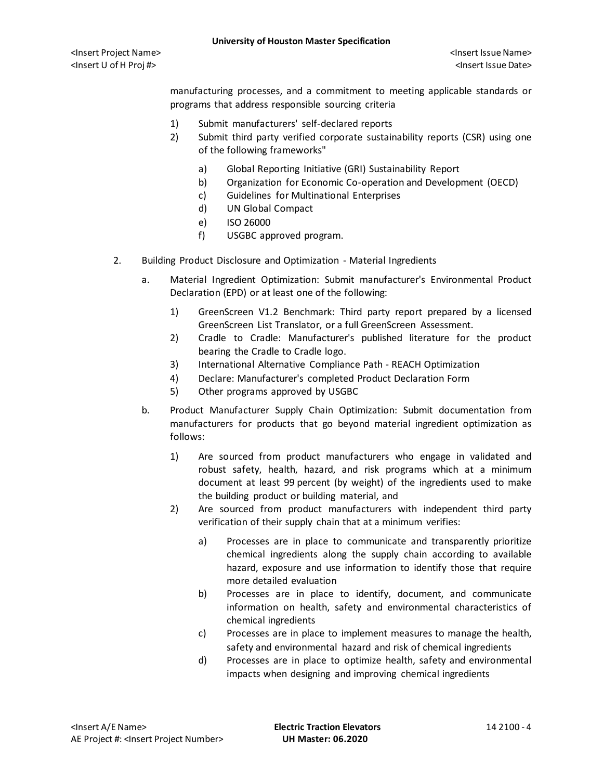manufacturing processes, and a commitment to meeting applicable standards or programs that address responsible sourcing criteria

- 1) Submit manufacturers' self-declared reports
- 2) Submit third party verified corporate sustainability reports (CSR) using one of the following frameworks"
	- a) Global Reporting Initiative (GRI) Sustainability Report
	- b) Organization for Economic Co-operation and Development (OECD)
	- c) Guidelines for Multinational Enterprises
	- d) UN Global Compact
	- e) ISO 26000
	- f) USGBC approved program.
- 2. Building Product Disclosure and Optimization Material Ingredients
	- a. Material Ingredient Optimization: Submit manufacturer's Environmental Product Declaration (EPD) or at least one of the following:
		- 1) GreenScreen V1.2 Benchmark: Third party report prepared by a licensed GreenScreen List Translator, or a full GreenScreen Assessment.
		- 2) Cradle to Cradle: Manufacturer's published literature for the product bearing the Cradle to Cradle logo.
		- 3) International Alternative Compliance Path REACH Optimization
		- 4) Declare: Manufacturer's completed Product Declaration Form
		- 5) Other programs approved by USGBC
	- b. Product Manufacturer Supply Chain Optimization: Submit documentation from manufacturers for products that go beyond material ingredient optimization as follows:
		- 1) Are sourced from product manufacturers who engage in validated and robust safety, health, hazard, and risk programs which at a minimum document at least 99 percent (by weight) of the ingredients used to make the building product or building material, and
		- 2) Are sourced from product manufacturers with independent third party verification of their supply chain that at a minimum verifies:
			- a) Processes are in place to communicate and transparently prioritize chemical ingredients along the supply chain according to available hazard, exposure and use information to identify those that require more detailed evaluation
			- b) Processes are in place to identify, document, and communicate information on health, safety and environmental characteristics of chemical ingredients
			- c) Processes are in place to implement measures to manage the health, safety and environmental hazard and risk of chemical ingredients
			- d) Processes are in place to optimize health, safety and environmental impacts when designing and improving chemical ingredients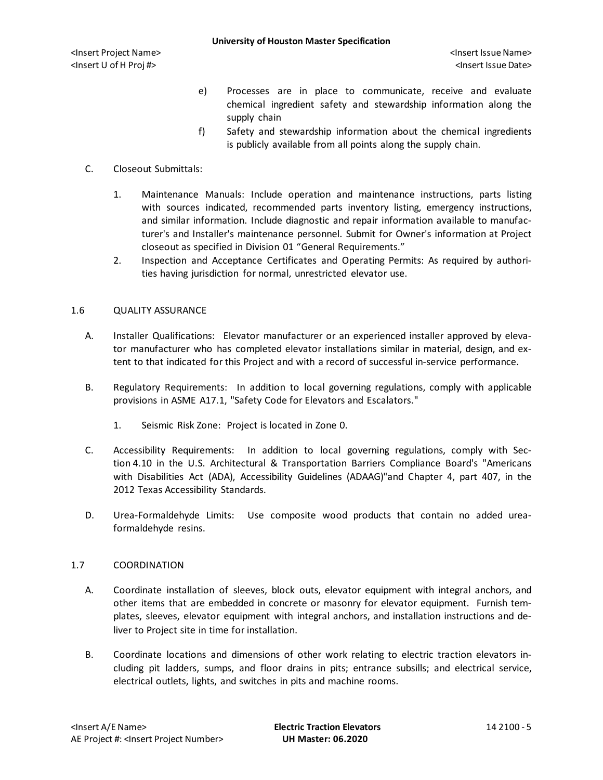- e) Processes are in place to communicate, receive and evaluate chemical ingredient safety and stewardship information along the supply chain
- f) Safety and stewardship information about the chemical ingredients is publicly available from all points along the supply chain.

# C. Closeout Submittals:

- 1. Maintenance Manuals: Include operation and maintenance instructions, parts listing with sources indicated, recommended parts inventory listing, emergency instructions, and similar information. Include diagnostic and repair information available to manufacturer's and Installer's maintenance personnel. Submit for Owner's information at Project closeout as specified in Division 01 "General Requirements."
- 2. Inspection and Acceptance Certificates and Operating Permits: As required by authorities having jurisdiction for normal, unrestricted elevator use.

# 1.6 QUALITY ASSURANCE

- A. Installer Qualifications: Elevator manufacturer or an experienced installer approved by elevator manufacturer who has completed elevator installations similar in material, design, and extent to that indicated for this Project and with a record of successful in-service performance.
- B. Regulatory Requirements: In addition to local governing regulations, comply with applicable provisions in ASME A17.1, "Safety Code for Elevators and Escalators."
	- 1. Seismic Risk Zone: Project is located in Zone 0.
- C. Accessibility Requirements: In addition to local governing regulations, comply with Section 4.10 in the U.S. Architectural & Transportation Barriers Compliance Board's "Americans with Disabilities Act (ADA), Accessibility Guidelines (ADAAG)"and Chapter 4, part 407, in the 2012 Texas Accessibility Standards.
- D. Urea-Formaldehyde Limits: Use composite wood products that contain no added ureaformaldehyde resins.

# 1.7 COORDINATION

- A. Coordinate installation of sleeves, block outs, elevator equipment with integral anchors, and other items that are embedded in concrete or masonry for elevator equipment. Furnish templates, sleeves, elevator equipment with integral anchors, and installation instructions and deliver to Project site in time for installation.
- B. Coordinate locations and dimensions of other work relating to electric traction elevators including pit ladders, sumps, and floor drains in pits; entrance subsills; and electrical service, electrical outlets, lights, and switches in pits and machine rooms.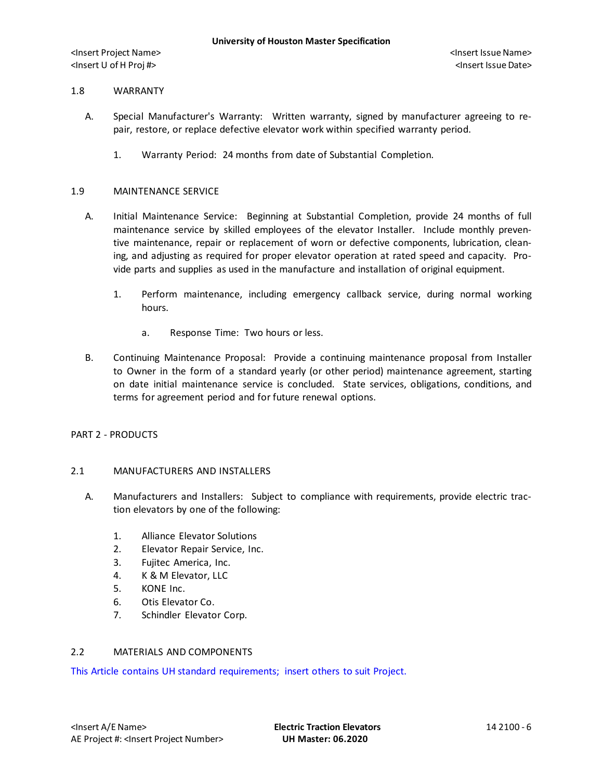#### 1.8 WARRANTY

- A. Special Manufacturer's Warranty: Written warranty, signed by manufacturer agreeing to repair, restore, or replace defective elevator work within specified warranty period.
	- 1. Warranty Period: 24 months from date of Substantial Completion.

#### 1.9 MAINTENANCE SERVICE

- A. Initial Maintenance Service: Beginning at Substantial Completion, provide 24 months of full maintenance service by skilled employees of the elevator Installer. Include monthly preventive maintenance, repair or replacement of worn or defective components, lubrication, cleaning, and adjusting as required for proper elevator operation at rated speed and capacity. Provide parts and supplies as used in the manufacture and installation of original equipment.
	- 1. Perform maintenance, including emergency callback service, during normal working hours.
		- a. Response Time: Two hours or less.
- B. Continuing Maintenance Proposal: Provide a continuing maintenance proposal from Installer to Owner in the form of a standard yearly (or other period) maintenance agreement, starting on date initial maintenance service is concluded. State services, obligations, conditions, and terms for agreement period and for future renewal options.

### PART 2 - PRODUCTS

### 2.1 MANUFACTURERS AND INSTALLERS

- A. Manufacturers and Installers: Subject to compliance with requirements, provide electric traction elevators by one of the following:
	- 1. Alliance Elevator Solutions
	- 2. Elevator Repair Service, Inc.
	- 3. Fujitec America, Inc.
	- 4. K & M Elevator, LLC
	- 5. KONE Inc.
	- 6. Otis Elevator Co.
	- 7. Schindler Elevator Corp.

# 2.2 MATERIALS AND COMPONENTS

This Article contains UH standard requirements; insert others to suit Project.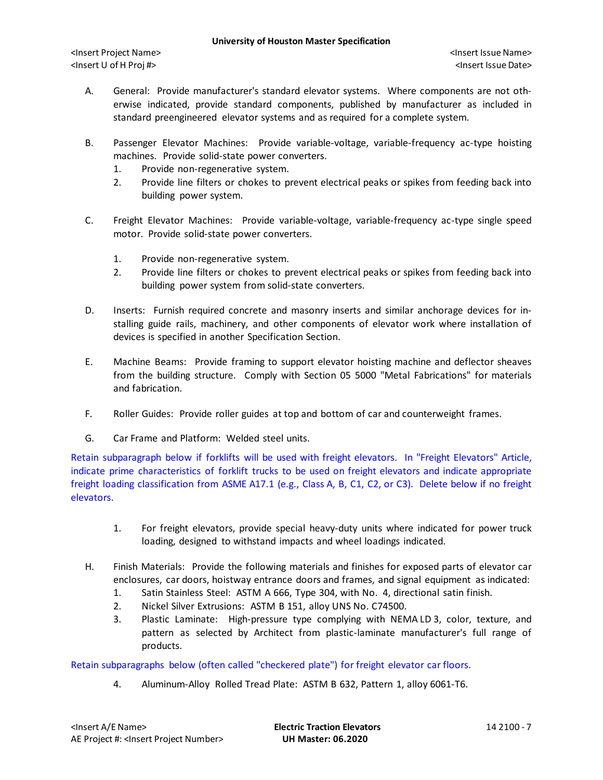- A. General: Provide manufacturer's standard elevator systems. Where components are not otherwise indicated, provide standard components, published by manufacturer as included in standard preengineered elevator systems and as required for a complete system.
- B. Passenger Elevator Machines: Provide variable-voltage, variable-frequency ac-type hoisting machines. Provide solid-state power converters.
	- 1. Provide non-regenerative system.
	- 2. Provide line filters or chokes to prevent electrical peaks or spikes from feeding back into building power system.
- C. Freight Elevator Machines: Provide variable-voltage, variable-frequency ac-type single speed motor. Provide solid-state power converters.
	- 1. Provide non-regenerative system.
	- 2. Provide line filters or chokes to prevent electrical peaks or spikes from feeding back into building power system from solid-state converters.
- D. Inserts: Furnish required concrete and masonry inserts and similar anchorage devices for installing guide rails, machinery, and other components of elevator work where installation of devices is specified in another Specification Section.
- E. Machine Beams: Provide framing to support elevator hoisting machine and deflector sheaves from the building structure. Comply with Section 05 5000 "Metal Fabrications" for materials and fabrication.
- F. Roller Guides: Provide roller guides at top and bottom of car and counterweight frames.
- G. Car Frame and Platform: Welded steel units.

Retain subparagraph below if forklifts will be used with freight elevators. In "Freight Elevators" Article, indicate prime characteristics of forklift trucks to be used on freight elevators and indicate appropriate freight loading classification from ASME A17.1 (e.g., Class A, B, C1, C2, or C3). Delete below if no freight elevators.

- 1. For freight elevators, provide special heavy-duty units where indicated for power truck loading, designed to withstand impacts and wheel loadings indicated.
- H. Finish Materials: Provide the following materials and finishes for exposed parts of elevator car enclosures, car doors, hoistway entrance doors and frames, and signal equipment as indicated:
	- 1. Satin Stainless Steel: ASTM A 666, Type 304, with No. 4, directional satin finish.
	- 2. Nickel Silver Extrusions: ASTM B 151, alloy UNS No. C74500.
	- 3. Plastic Laminate: High-pressure type complying with NEMA LD 3, color, texture, and pattern as selected by Architect from plastic-laminate manufacturer's full range of products.

Retain subparagraphs below (often called "checkered plate") for freight elevator car floors.

4. Aluminum-Alloy Rolled Tread Plate: ASTM B 632, Pattern 1, alloy 6061-T6.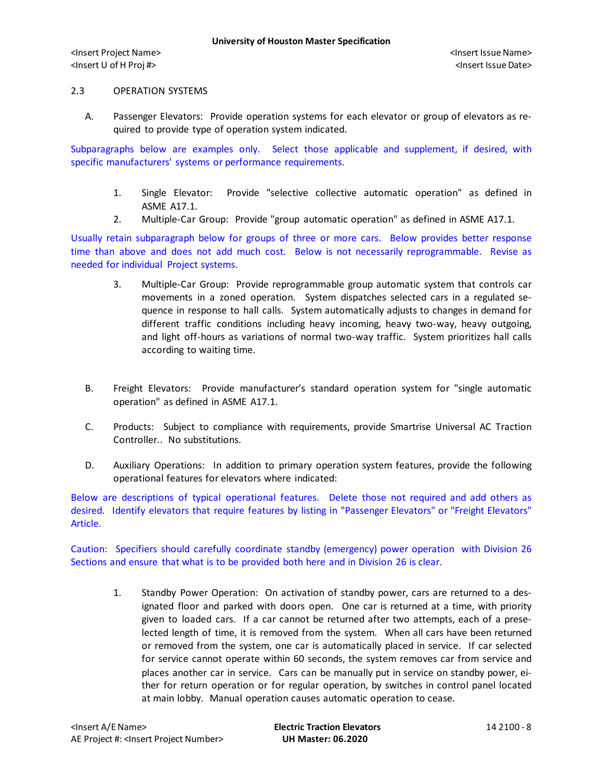### 2.3 OPERATION SYSTEMS

A. Passenger Elevators: Provide operation systems for each elevator or group of elevators as required to provide type of operation system indicated.

Subparagraphs below are examples only. Select those applicable and supplement, if desired, with specific manufacturers' systems or performance requirements.

- 1. Single Elevator: Provide "selective collective automatic operation" as defined in ASME A17.1.
- 2. Multiple-Car Group: Provide "group automatic operation" as defined in ASME A17.1.

Usually retain subparagraph below for groups of three or more cars. Below provides better response time than above and does not add much cost. Below is not necessarily reprogrammable. Revise as needed for individual Project systems.

- 3. Multiple-Car Group: Provide reprogrammable group automatic system that controls car movements in a zoned operation. System dispatches selected cars in a regulated sequence in response to hall calls. System automatically adjusts to changes in demand for different traffic conditions including heavy incoming, heavy two-way, heavy outgoing, and light off-hours as variations of normal two-way traffic. System prioritizes hall calls according to waiting time.
- B. Freight Elevators: Provide manufacturer's standard operation system for "single automatic operation" as defined in ASME A17.1.
- C. Products: Subject to compliance with requirements, provide Smartrise Universal AC Traction Controller.. No substitutions.
- D. Auxiliary Operations: In addition to primary operation system features, provide the following operational features for elevators where indicated:

Below are descriptions of typical operational features. Delete those not required and add others as desired. Identify elevators that require features by listing in "Passenger Elevators" or "Freight Elevators" Article.

Caution: Specifiers should carefully coordinate standby (emergency) power operation with Division 26 Sections and ensure that what is to be provided both here and in Division 26 is clear.

1. Standby Power Operation: On activation of standby power, cars are returned to a designated floor and parked with doors open. One car is returned at a time, with priority given to loaded cars. If a car cannot be returned after two attempts, each of a preselected length of time, it is removed from the system. When all cars have been returned or removed from the system, one car is automatically placed in service. If car selected for service cannot operate within 60 seconds, the system removes car from service and places another car in service. Cars can be manually put in service on standby power, either for return operation or for regular operation, by switches in control panel located at main lobby. Manual operation causes automatic operation to cease.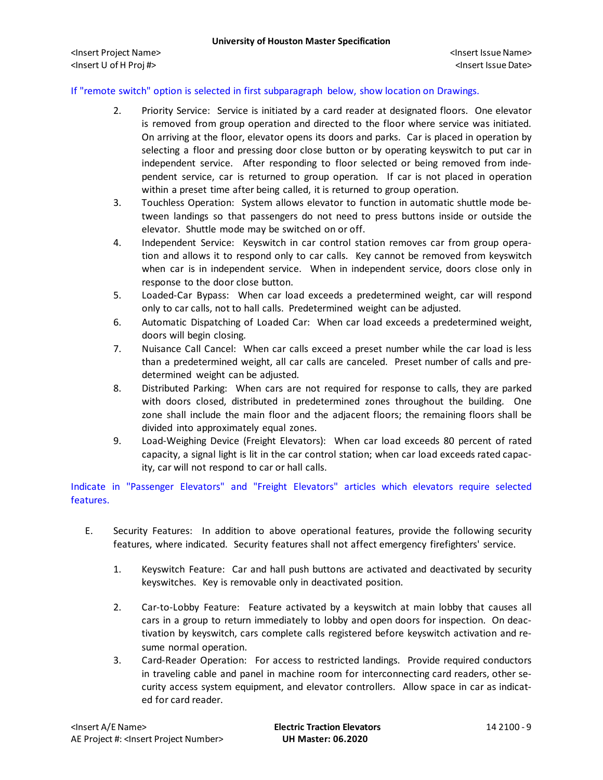# If "remote switch" option is selected in first subparagraph below, show location on Drawings.

- 2. Priority Service: Service is initiated by a card reader at designated floors. One elevator is removed from group operation and directed to the floor where service was initiated. On arriving at the floor, elevator opens its doors and parks. Car is placed in operation by selecting a floor and pressing door close button or by operating keyswitch to put car in independent service. After responding to floor selected or being removed from independent service, car is returned to group operation. If car is not placed in operation within a preset time after being called, it is returned to group operation.
- 3. Touchless Operation: System allows elevator to function in automatic shuttle mode between landings so that passengers do not need to press buttons inside or outside the elevator. Shuttle mode may be switched on or off.
- 4. Independent Service: Keyswitch in car control station removes car from group operation and allows it to respond only to car calls. Key cannot be removed from keyswitch when car is in independent service. When in independent service, doors close only in response to the door close button.
- 5. Loaded-Car Bypass: When car load exceeds a predetermined weight, car will respond only to car calls, not to hall calls. Predetermined weight can be adjusted.
- 6. Automatic Dispatching of Loaded Car: When car load exceeds a predetermined weight, doors will begin closing.
- 7. Nuisance Call Cancel: When car calls exceed a preset number while the car load is less than a predetermined weight, all car calls are canceled. Preset number of calls and predetermined weight can be adjusted.
- 8. Distributed Parking: When cars are not required for response to calls, they are parked with doors closed, distributed in predetermined zones throughout the building. One zone shall include the main floor and the adjacent floors; the remaining floors shall be divided into approximately equal zones.
- 9. Load-Weighing Device (Freight Elevators): When car load exceeds 80 percent of rated capacity, a signal light is lit in the car control station; when car load exceeds rated capacity, car will not respond to car or hall calls.

Indicate in "Passenger Elevators" and "Freight Elevators" articles which elevators require selected features.

- E. Security Features: In addition to above operational features, provide the following security features, where indicated. Security features shall not affect emergency firefighters' service.
	- 1. Keyswitch Feature: Car and hall push buttons are activated and deactivated by security keyswitches. Key is removable only in deactivated position.
	- 2. Car-to-Lobby Feature: Feature activated by a keyswitch at main lobby that causes all cars in a group to return immediately to lobby and open doors for inspection. On deactivation by keyswitch, cars complete calls registered before keyswitch activation and resume normal operation.
	- 3. Card-Reader Operation: For access to restricted landings. Provide required conductors in traveling cable and panel in machine room for interconnecting card readers, other security access system equipment, and elevator controllers. Allow space in car as indicated for card reader.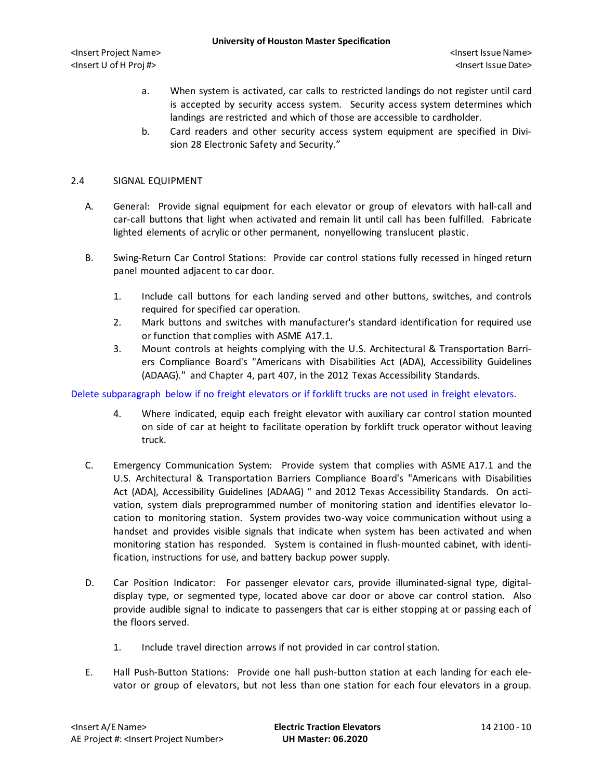- a. When system is activated, car calls to restricted landings do not register until card is accepted by security access system. Security access system determines which landings are restricted and which of those are accessible to cardholder.
- b. Card readers and other security access system equipment are specified in Division 28 Electronic Safety and Security."

### 2.4 SIGNAL EQUIPMENT

- A. General: Provide signal equipment for each elevator or group of elevators with hall-call and car-call buttons that light when activated and remain lit until call has been fulfilled. Fabricate lighted elements of acrylic or other permanent, nonyellowing translucent plastic.
- B. Swing-Return Car Control Stations: Provide car control stations fully recessed in hinged return panel mounted adjacent to car door.
	- 1. Include call buttons for each landing served and other buttons, switches, and controls required for specified car operation.
	- 2. Mark buttons and switches with manufacturer's standard identification for required use or function that complies with ASME A17.1.
	- 3. Mount controls at heights complying with the U.S. Architectural & Transportation Barriers Compliance Board's "Americans with Disabilities Act (ADA), Accessibility Guidelines (ADAAG)." and Chapter 4, part 407, in the 2012 Texas Accessibility Standards.

Delete subparagraph below if no freight elevators or if forklift trucks are not used in freight elevators.

- 4. Where indicated, equip each freight elevator with auxiliary car control station mounted on side of car at height to facilitate operation by forklift truck operator without leaving truck.
- C. Emergency Communication System: Provide system that complies with ASME A17.1 and the U.S. Architectural & Transportation Barriers Compliance Board's "Americans with Disabilities Act (ADA), Accessibility Guidelines (ADAAG) " and 2012 Texas Accessibility Standards. On activation, system dials preprogrammed number of monitoring station and identifies elevator location to monitoring station. System provides two-way voice communication without using a handset and provides visible signals that indicate when system has been activated and when monitoring station has responded. System is contained in flush-mounted cabinet, with identification, instructions for use, and battery backup power supply.
- D. Car Position Indicator: For passenger elevator cars, provide illuminated-signal type, digitaldisplay type, or segmented type, located above car door or above car control station. Also provide audible signal to indicate to passengers that car is either stopping at or passing each of the floors served.
	- 1. Include travel direction arrows if not provided in car control station.
- E. Hall Push-Button Stations: Provide one hall push-button station at each landing for each elevator or group of elevators, but not less than one station for each four elevators in a group.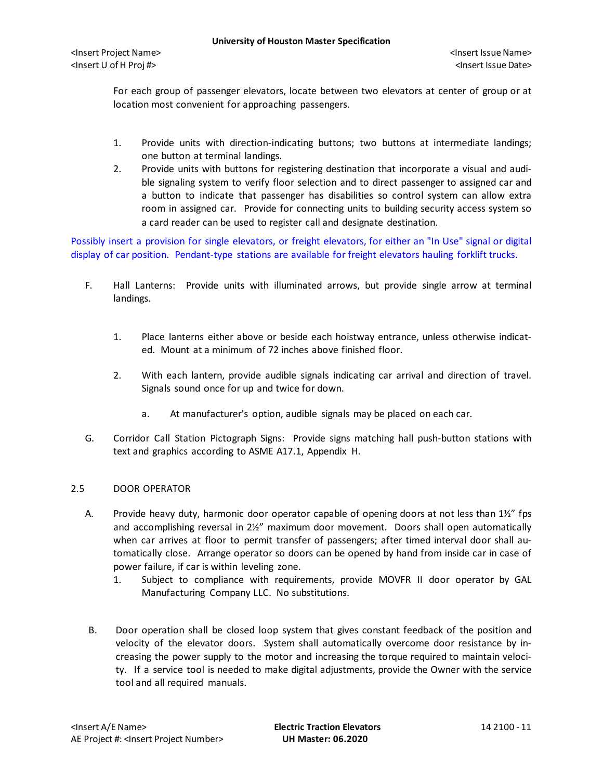For each group of passenger elevators, locate between two elevators at center of group or at location most convenient for approaching passengers.

- 1. Provide units with direction-indicating buttons; two buttons at intermediate landings; one button at terminal landings.
- 2. Provide units with buttons for registering destination that incorporate a visual and audible signaling system to verify floor selection and to direct passenger to assigned car and a button to indicate that passenger has disabilities so control system can allow extra room in assigned car. Provide for connecting units to building security access system so a card reader can be used to register call and designate destination.

Possibly insert a provision for single elevators, or freight elevators, for either an "In Use" signal or digital display of car position. Pendant-type stations are available for freight elevators hauling forklift trucks.

- F. Hall Lanterns: Provide units with illuminated arrows, but provide single arrow at terminal landings.
	- 1. Place lanterns either above or beside each hoistway entrance, unless otherwise indicated. Mount at a minimum of 72 inches above finished floor.
	- 2. With each lantern, provide audible signals indicating car arrival and direction of travel. Signals sound once for up and twice for down.
		- a. At manufacturer's option, audible signals may be placed on each car.
- G. Corridor Call Station Pictograph Signs: Provide signs matching hall push-button stations with text and graphics according to ASME A17.1, Appendix H.

# 2.5 DOOR OPERATOR

- A. Provide heavy duty, harmonic door operator capable of opening doors at not less than 1½" fps and accomplishing reversal in 2½" maximum door movement. Doors shall open automatically when car arrives at floor to permit transfer of passengers; after timed interval door shall automatically close. Arrange operator so doors can be opened by hand from inside car in case of power failure, if car is within leveling zone.
	- 1. Subject to compliance with requirements, provide MOVFR II door operator by GAL Manufacturing Company LLC. No substitutions.
- B. Door operation shall be closed loop system that gives constant feedback of the position and velocity of the elevator doors. System shall automatically overcome door resistance by increasing the power supply to the motor and increasing the torque required to maintain velocity. If a service tool is needed to make digital adjustments, provide the Owner with the service tool and all required manuals.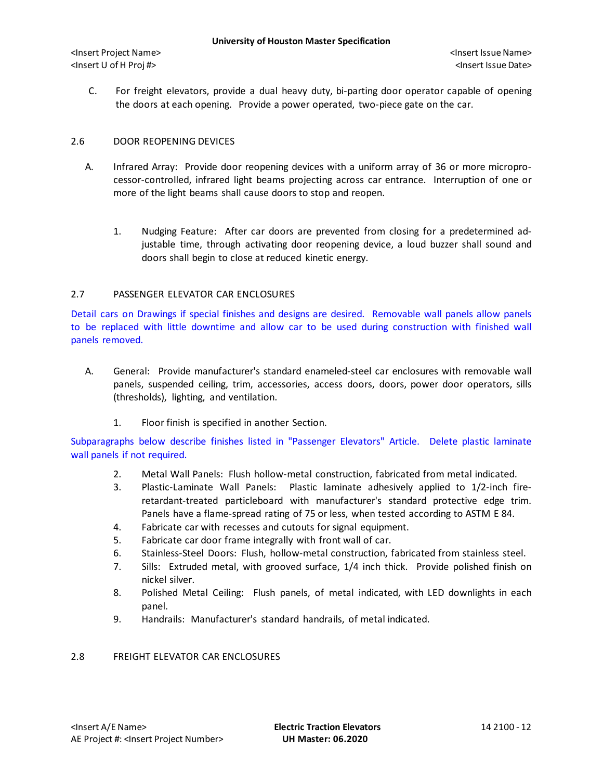C. For freight elevators, provide a dual heavy duty, bi-parting door operator capable of opening the doors at each opening. Provide a power operated, two-piece gate on the car.

## 2.6 DOOR REOPENING DEVICES

- A. Infrared Array: Provide door reopening devices with a uniform array of 36 or more microprocessor-controlled, infrared light beams projecting across car entrance. Interruption of one or more of the light beams shall cause doors to stop and reopen.
	- 1. Nudging Feature: After car doors are prevented from closing for a predetermined adjustable time, through activating door reopening device, a loud buzzer shall sound and doors shall begin to close at reduced kinetic energy.

## 2.7 PASSENGER ELEVATOR CAR ENCLOSURES

Detail cars on Drawings if special finishes and designs are desired. Removable wall panels allow panels to be replaced with little downtime and allow car to be used during construction with finished wall panels removed.

- A. General: Provide manufacturer's standard enameled-steel car enclosures with removable wall panels, suspended ceiling, trim, accessories, access doors, doors, power door operators, sills (thresholds), lighting, and ventilation.
	- 1. Floor finish is specified in another Section.

Subparagraphs below describe finishes listed in "Passenger Elevators" Article. Delete plastic laminate wall panels if not required.

- 2. Metal Wall Panels: Flush hollow-metal construction, fabricated from metal indicated.
- 3. Plastic-Laminate Wall Panels: Plastic laminate adhesively applied to 1/2-inch fireretardant-treated particleboard with manufacturer's standard protective edge trim. Panels have a flame-spread rating of 75 or less, when tested according to ASTM E 84.
- 4. Fabricate car with recesses and cutouts for signal equipment.
- 5. Fabricate car door frame integrally with front wall of car.
- 6. Stainless-Steel Doors: Flush, hollow-metal construction, fabricated from stainless steel.
- 7. Sills: Extruded metal, with grooved surface, 1/4 inch thick. Provide polished finish on nickel silver.
- 8. Polished Metal Ceiling: Flush panels, of metal indicated, with LED downlights in each panel.
- 9. Handrails: Manufacturer's standard handrails, of metal indicated.

# 2.8 FREIGHT ELEVATOR CAR ENCLOSURES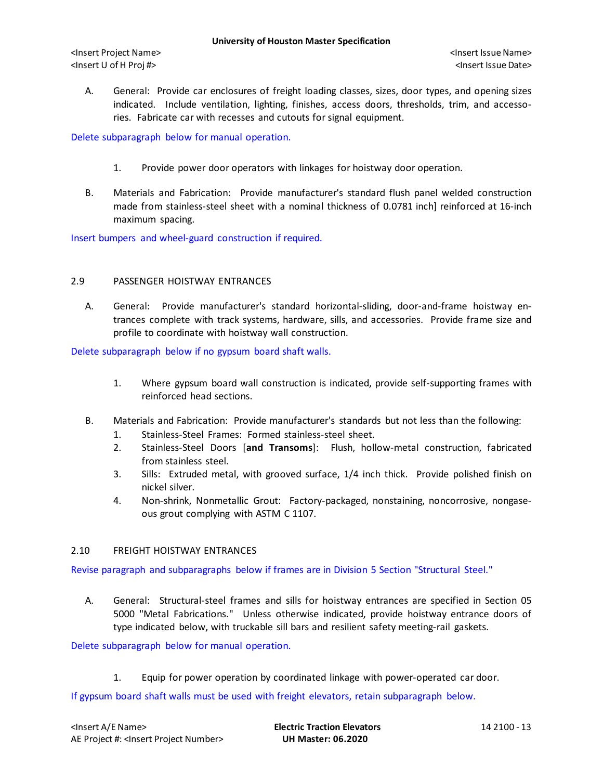A. General: Provide car enclosures of freight loading classes, sizes, door types, and opening sizes indicated. Include ventilation, lighting, finishes, access doors, thresholds, trim, and accessories. Fabricate car with recesses and cutouts for signal equipment.

Delete subparagraph below for manual operation.

- 1. Provide power door operators with linkages for hoistway door operation.
- B. Materials and Fabrication: Provide manufacturer's standard flush panel welded construction made from stainless-steel sheet with a nominal thickness of 0.0781 inch] reinforced at 16-inch maximum spacing.

Insert bumpers and wheel-guard construction if required.

## 2.9 PASSENGER HOISTWAY ENTRANCES

A. General: Provide manufacturer's standard horizontal-sliding, door-and-frame hoistway entrances complete with track systems, hardware, sills, and accessories. Provide frame size and profile to coordinate with hoistway wall construction.

Delete subparagraph below if no gypsum board shaft walls.

- 1. Where gypsum board wall construction is indicated, provide self-supporting frames with reinforced head sections.
- B. Materials and Fabrication: Provide manufacturer's standards but not less than the following:
	- 1. Stainless-Steel Frames: Formed stainless-steel sheet.
	- 2. Stainless-Steel Doors [**and Transoms**]: Flush, hollow-metal construction, fabricated from stainless steel.
	- 3. Sills: Extruded metal, with grooved surface, 1/4 inch thick. Provide polished finish on nickel silver.
	- 4. Non-shrink, Nonmetallic Grout: Factory-packaged, nonstaining, noncorrosive, nongaseous grout complying with ASTM C 1107.

### 2.10 FREIGHT HOISTWAY ENTRANCES

Revise paragraph and subparagraphs below if frames are in Division 5 Section "Structural Steel."

A. General: Structural-steel frames and sills for hoistway entrances are specified in Section 05 5000 "Metal Fabrications." Unless otherwise indicated, provide hoistway entrance doors of type indicated below, with truckable sill bars and resilient safety meeting-rail gaskets.

Delete subparagraph below for manual operation.

1. Equip for power operation by coordinated linkage with power-operated car door.

If gypsum board shaft walls must be used with freight elevators, retain subparagraph below.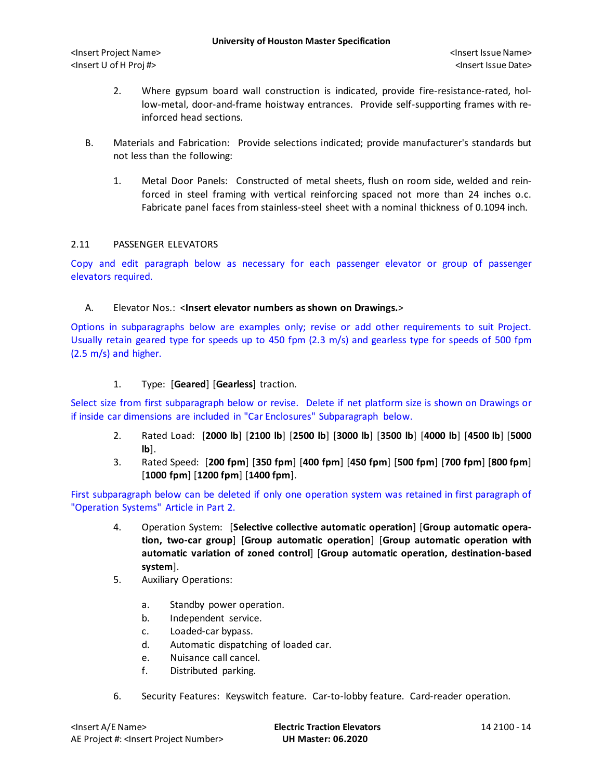- 2. Where gypsum board wall construction is indicated, provide fire-resistance-rated, hollow-metal, door-and-frame hoistway entrances. Provide self-supporting frames with reinforced head sections.
- B. Materials and Fabrication: Provide selections indicated; provide manufacturer's standards but not less than the following:
	- 1. Metal Door Panels: Constructed of metal sheets, flush on room side, welded and reinforced in steel framing with vertical reinforcing spaced not more than 24 inches o.c. Fabricate panel faces from stainless-steel sheet with a nominal thickness of 0.1094 inch.

### 2.11 PASSENGER ELEVATORS

Copy and edit paragraph below as necessary for each passenger elevator or group of passenger elevators required.

### A. Elevator Nos.: <**Insert elevator numbers as shown on Drawings.**>

Options in subparagraphs below are examples only; revise or add other requirements to suit Project. Usually retain geared type for speeds up to 450 fpm (2.3 m/s) and gearless type for speeds of 500 fpm (2.5 m/s) and higher.

# 1. Type: [**Geared**] [**Gearless**] traction.

Select size from first subparagraph below or revise. Delete if net platform size is shown on Drawings or if inside car dimensions are included in "Car Enclosures" Subparagraph below.

- 2. Rated Load: [**2000 lb**] [**2100 lb**] [**2500 lb**] [**3000 lb**] [**3500 lb**] [**4000 lb**] [**4500 lb**] [**5000 lb**].
- 3. Rated Speed: [**200 fpm**] [**350 fpm**] [**400 fpm**] [**450 fpm**] [**500 fpm**] [**700 fpm**] [**800 fpm**] [**1000 fpm**] [**1200 fpm**] [**1400 fpm**].

First subparagraph below can be deleted if only one operation system was retained in first paragraph of "Operation Systems" Article in Part 2.

- 4. Operation System: [**Selective collective automatic operation**] [**Group automatic operation, two-car group**] [**Group automatic operation**] [**Group automatic operation with automatic variation of zoned control**] [**Group automatic operation, destination-based system**].
- 5. Auxiliary Operations:
	- a. Standby power operation.
	- b. Independent service.
	- c. Loaded-car bypass.
	- d. Automatic dispatching of loaded car.
	- e. Nuisance call cancel.
	- f. Distributed parking.
- 6. Security Features: Keyswitch feature. Car-to-lobby feature. Card-reader operation.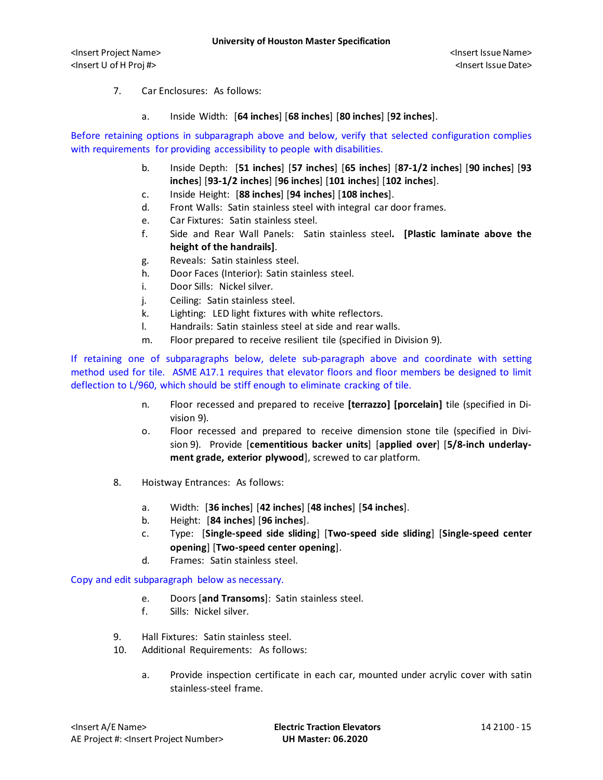- 7. Car Enclosures: As follows:
	- a. Inside Width: [**64 inches**] [**68 inches**] [**80 inches**] [**92 inches**].

Before retaining options in subparagraph above and below, verify that selected configuration complies with requirements for providing accessibility to people with disabilities.

- b. Inside Depth: [**51 inches**] [**57 inches**] [**65 inches**] [**87-1/2 inches**] [**90 inches**] [**93 inches**] [**93-1/2 inches**] [**96 inches**] [**101 inches**] [**102 inches**].
- c. Inside Height: [**88 inches**] [**94 inches**] [**108 inches**].
- d. Front Walls: Satin stainless steel with integral car door frames.
- e. Car Fixtures: Satin stainless steel.
- f. Side and Rear Wall Panels: Satin stainless steel**. [Plastic laminate above the height of the handrails]**.
- g. Reveals: Satin stainless steel.
- h. Door Faces (Interior): Satin stainless steel.
- i. Door Sills: Nickel silver.
- j. Ceiling: Satin stainless steel.
- k. Lighting: LED light fixtures with white reflectors.
- l. Handrails: Satin stainless steel at side and rear walls.
- m. Floor prepared to receive resilient tile (specified in Division 9).

If retaining one of subparagraphs below, delete sub-paragraph above and coordinate with setting method used for tile. ASME A17.1 requires that elevator floors and floor members be designed to limit deflection to L/960, which should be stiff enough to eliminate cracking of tile.

- n. Floor recessed and prepared to receive **[terrazzo] [porcelain]** tile (specified in Division 9).
- o. Floor recessed and prepared to receive dimension stone tile (specified in Division 9). Provide [**cementitious backer units**] [**applied over**] [**5/8-inch underlayment grade, exterior plywood**], screwed to car platform.
- 8. Hoistway Entrances: As follows:
	- a. Width: [**36 inches**] [**42 inches**] [**48 inches**] [**54 inches**].
	- b. Height: [**84 inches**] [**96 inches**].
	- c. Type: [**Single-speed side sliding**] [**Two-speed side sliding**] [**Single-speed center opening**] [**Two-speed center opening**].
	- d. Frames: Satin stainless steel.

Copy and edit subparagraph below as necessary.

- e. Doors [**and Transoms**]: Satin stainless steel.
- f. Sills: Nickel silver.
- 9. Hall Fixtures: Satin stainless steel.
- 10. Additional Requirements: As follows:
	- a. Provide inspection certificate in each car, mounted under acrylic cover with satin stainless-steel frame.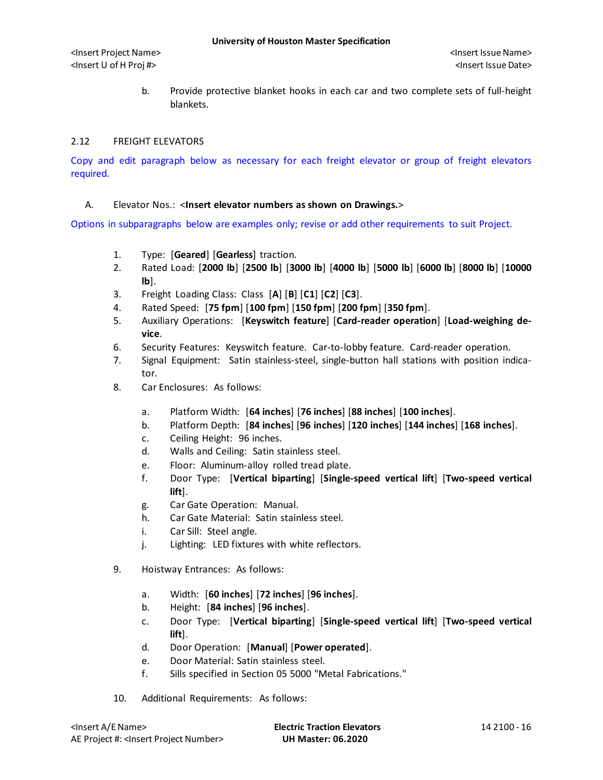b. Provide protective blanket hooks in each car and two complete sets of full-height blankets.

## 2.12 FREIGHT ELEVATORS

Copy and edit paragraph below as necessary for each freight elevator or group of freight elevators required.

### A. Elevator Nos.: <**Insert elevator numbers as shown on Drawings.**>

Options in subparagraphs below are examples only; revise or add other requirements to suit Project.

- 1. Type: [**Geared**] [**Gearless**] traction.
- 2. Rated Load: [**2000 lb**] [**2500 lb**] [**3000 lb**] [**4000 lb**] [**5000 lb**] [**6000 lb**] [**8000 lb**] [**10000 lb**].
- 3. Freight Loading Class: Class [**A**] [**B**] [**C1**] [**C2**] [**C3**].
- 4. Rated Speed: [**75 fpm**] [**100 fpm**] [**150 fpm**] [**200 fpm**] [**350 fpm**].
- 5. Auxiliary Operations: [**Keyswitch feature**] [**Card-reader operation**] [**Load-weighing device**.
- 6. Security Features: Keyswitch feature. Car-to-lobby feature. Card-reader operation.
- 7. Signal Equipment: Satin stainless-steel, single-button hall stations with position indicator.
- 8. Car Enclosures: As follows:
	- a. Platform Width: [**64 inches**] [**76 inches**] [**88 inches**] [**100 inches**].
	- b. Platform Depth: [**84 inches**] [**96 inches**] [**120 inches**] [**144 inches**] [**168 inches**].
	- c. Ceiling Height: 96 inches.
	- d. Walls and Ceiling: Satin stainless steel.
	- e. Floor: Aluminum-alloy rolled tread plate.
	- f. Door Type: [**Vertical biparting**] [**Single-speed vertical lift**] [**Two-speed vertical lift**].
	- g. Car Gate Operation: Manual.
	- h. Car Gate Material: Satin stainless steel.
	- i. Car Sill: Steel angle.
	- j. Lighting: LED fixtures with white reflectors.
- 9. Hoistway Entrances: As follows:
	- a. Width: [**60 inches**] [**72 inches**] [**96 inches**].
	- b. Height: [**84 inches**] [**96 inches**].
	- c. Door Type: [**Vertical biparting**] [**Single-speed vertical lift**] [**Two-speed vertical lift**].
	- d. Door Operation: [**Manual**] [**Power operated**].
	- e. Door Material: Satin stainless steel.
	- f. Sills specified in Section 05 5000 "Metal Fabrications."
- 10. Additional Requirements: As follows: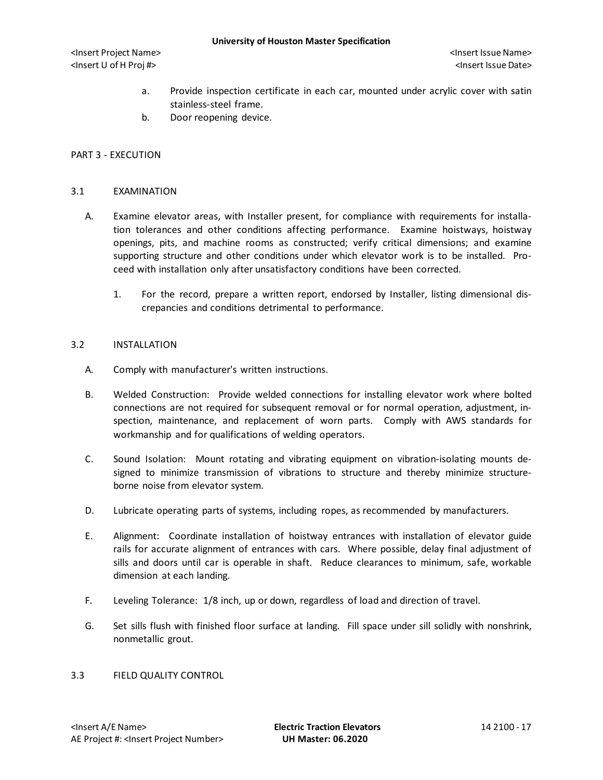- a. Provide inspection certificate in each car, mounted under acrylic cover with satin stainless-steel frame.
- b. Door reopening device.

#### PART 3 - EXECUTION

#### 3.1 EXAMINATION

- A. Examine elevator areas, with Installer present, for compliance with requirements for installation tolerances and other conditions affecting performance. Examine hoistways, hoistway openings, pits, and machine rooms as constructed; verify critical dimensions; and examine supporting structure and other conditions under which elevator work is to be installed. Proceed with installation only after unsatisfactory conditions have been corrected.
	- 1. For the record, prepare a written report, endorsed by Installer, listing dimensional discrepancies and conditions detrimental to performance.

#### 3.2 INSTALLATION

- A. Comply with manufacturer's written instructions.
- B. Welded Construction: Provide welded connections for installing elevator work where bolted connections are not required for subsequent removal or for normal operation, adjustment, inspection, maintenance, and replacement of worn parts. Comply with AWS standards for workmanship and for qualifications of welding operators.
- C. Sound Isolation: Mount rotating and vibrating equipment on vibration-isolating mounts designed to minimize transmission of vibrations to structure and thereby minimize structureborne noise from elevator system.
- D. Lubricate operating parts of systems, including ropes, as recommended by manufacturers.
- E. Alignment: Coordinate installation of hoistway entrances with installation of elevator guide rails for accurate alignment of entrances with cars. Where possible, delay final adjustment of sills and doors until car is operable in shaft. Reduce clearances to minimum, safe, workable dimension at each landing.
- F. Leveling Tolerance: 1/8 inch, up or down, regardless of load and direction of travel.
- G. Set sills flush with finished floor surface at landing. Fill space under sill solidly with nonshrink, nonmetallic grout.
- 3.3 FIELD QUALITY CONTROL